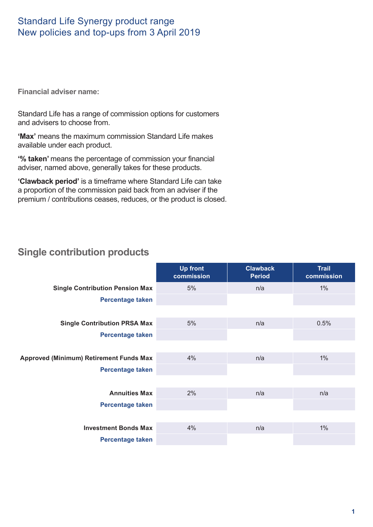## Standard Life Synergy product range New policies and top-ups from 3 April 2019

**Financial adviser name:**

Standard Life has a range of commission options for customers and advisers to choose from.

**'Max'** means the maximum commission Standard Life makes available under each product.

**'% taken'** means the percentage of commission your financial adviser, named above, generally takes for these products.

**'Clawback period'** is a timeframe where Standard Life can take a proportion of the commission paid back from an adviser if the premium / contributions ceases, reduces, or the product is closed.

# **Single contribution products**

|                                                | <b>Up front</b><br>commission | <b>Clawback</b><br><b>Period</b> | <b>Trail</b><br>commission |
|------------------------------------------------|-------------------------------|----------------------------------|----------------------------|
| <b>Single Contribution Pension Max</b>         | 5%                            | n/a                              | $1\%$                      |
| Percentage taken                               |                               |                                  |                            |
|                                                |                               |                                  |                            |
| <b>Single Contribution PRSA Max</b>            | 5%                            | n/a                              | 0.5%                       |
| <b>Percentage taken</b>                        |                               |                                  |                            |
|                                                |                               |                                  |                            |
| <b>Approved (Minimum) Retirement Funds Max</b> | 4%                            | n/a                              | $1\%$                      |
| <b>Percentage taken</b>                        |                               |                                  |                            |
|                                                |                               |                                  |                            |
| <b>Annuities Max</b>                           | 2%                            | n/a                              | n/a                        |
| Percentage taken                               |                               |                                  |                            |
|                                                |                               |                                  |                            |
| <b>Investment Bonds Max</b>                    | 4%                            | n/a                              | $1\%$                      |
| <b>Percentage taken</b>                        |                               |                                  |                            |